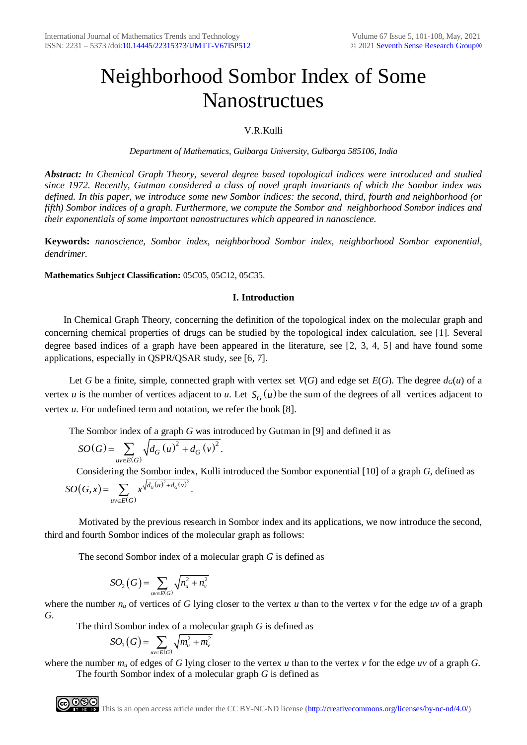# Neighborhood Sombor Index of Some Nanostructues

# V.R.Kulli

*Department of Mathematics, Gulbarga University, Gulbarga 585106, India*

*Abstract: In Chemical Graph Theory, several degree based topological indices were introduced and studied since 1972. Recently, Gutman considered a class of novel graph invariants of which the Sombor index was defined. In this paper, we introduce some new Sombor indices: the second, third, fourth and neighborhood (or fifth) Sombor indices of a graph. Furthermore, we compute the Sombor and neighborhood Sombor indices and their exponentials of some important nanostructures which appeared in nanoscience.*

**Keywords:** *nanoscience, Sombor index, neighborhood Sombor index, neighborhood Sombor exponential, dendrimer.*

**Mathematics Subject Classification:** 05*C*05, 05*C*12, 05*C*35.

# **I. Introduction**

In Chemical Graph Theory, concerning the definition of the topological index on the molecular graph and concerning chemical properties of drugs can be studied by the topological index calculation, see [1]. Several degree based indices of a graph have been appeared in the literature, see [2, 3, 4, 5] and have found some applications, especially in QSPR/QSAR study, see [6, 7].

Let *G* be a finite, simple, connected graph with vertex set  $V(G)$  and edge set  $E(G)$ . The degree  $d_G(u)$  of a vertex *u* is the number of vertices adjacent to *u*. Let  $S_G(u)$  be the sum of the degrees of all vertices adjacent to vertex *u.* For undefined term and notation, we refer the book [8].

The Sombor index of a graph *G* was introduced by Gutman in [9] and defined it as

$$
SO(G) = \sum_{uv \in E(G)} \sqrt{d_G(u)^2 + d_G(v)^2}.
$$

∈.

Considering the Sombor index, Kulli introduced the Sombor exponential [10] of a graph *G*, defined as  $(G,x) = \sum x^{\sqrt{d_G(u)^2 + d_G(v)}}$  $\left( G\right)$ 2  $\cdot$   $\cdot$   $\cdot$  2  $(x) = \sum x^{\sqrt{d_G(u)} + d_G(v)}$ .  $=\sum x^{\sqrt{d_G(u)}+d_G(v)}$ *uv E G*  $SO(G, x) = \sum x^2$ 

 Motivated by the previous research in Sombor index and its applications, we now introduce the second, third and fourth Sombor indices of the molecular graph as follows:

The second Sombor index of a molecular graph *G* is defined as

$$
SO_2(G) = \sum_{uv \in E(G)} \sqrt{n_u^2 + n_v^2}
$$

where the number  $n_u$  of vertices of G lying closer to the vertex *u* than to the vertex *v* for the edge *uv* of a graph *G*.

The third Sombor index of a molecular graph *G* is defined as

$$
SO_{3}(G)=\sum_{uv\in E(G)}\sqrt{m_{u}^{2}+m_{v}^{2}}
$$

where the number  $m_u$  of edges of *G* lying closer to the vertex *u* than to the vertex *v* for the edge *uv* of a graph *G*. The fourth Sombor index of a molecular graph *G* is defined as

**COOO**<br>**This is an open access article under the CC BY-NC-ND license [\(http://creativecommons.org/licenses/by-nc-nd/4.0/\)](http://creativecommons.org/licenses/by-nc-nd/4.0/)**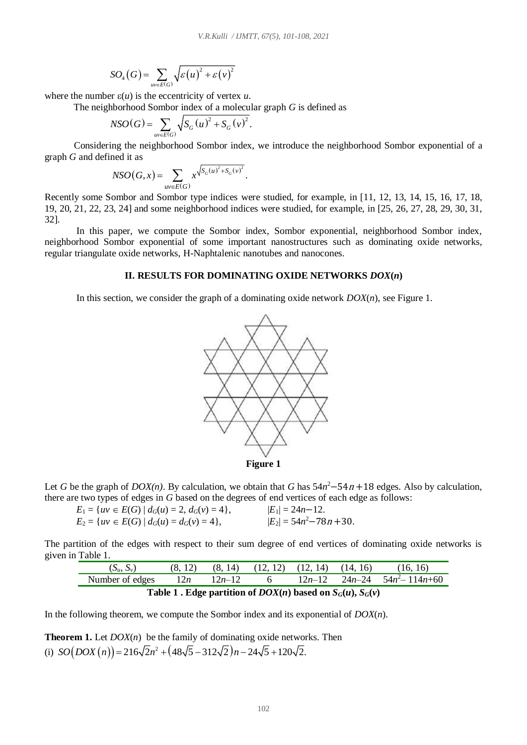$$
SO_4(G) = \sum_{uv \in E(G)} \sqrt{\varepsilon(u)^2 + \varepsilon(v)^2}
$$

where the number  $\varepsilon(u)$  is the eccentricity of vertex *u*.

The neighborhood Sombor index of a molecular graph *G* is defined as

$$
NSO(G) = \sum_{uv \in E(G)} \sqrt{S_G(u)^2 + S_G(v)^2}.
$$

 Considering the neighborhood Sombor index, we introduce the neighborhood Sombor exponential of a graph *G* and defined it as

$$
NSO(G, x) = \sum_{uv \in E(G)} x^{\sqrt{S_G(u)^2 + S_G(v)^2}}.
$$

Recently some Sombor and Sombor type indices were studied, for example, in [11, 12, 13, 14, 15, 16, 17, 18, 19, 20, 21, 22, 23, 24] and some neighborhood indices were studied, for example, in [25, 26, 27, 28, 29, 30, 31, 32].

In this paper, we compute the Sombor index, Sombor exponential, neighborhood Sombor index, neighborhood Sombor exponential of some important nanostructures such as dominating oxide networks, regular triangulate oxide networks, H-Naphtalenic nanotubes and nanocones.

## **II. RESULTS FOR DOMINATING OXIDE NETWORKS** *DOX***(***n***)**

In this section, we consider the graph of a dominating oxide network *DOX*(*n*), see Figure 1.



Let *G* be the graph of *DOX(n)*. By calculation, we obtain that *G* has  $54n^2 - 54n + 18$  edges. Also by calculation, there are two types of edges in *G* based on the degrees of end vertices of each edge as follows:

| $E_1 = \{uv \in E(G) \mid d_G(u) = 2, d_G(v) = 4\},\$ | $ E_1  = 24n - 12.$         |
|-------------------------------------------------------|-----------------------------|
| $E_2 = \{uv \in E(G) \mid d_G(u) = d_G(v) = 4\},\$    | $ E_2  = 54n^2 - 78n + 30.$ |

The partition of the edges with respect to their sum degree of end vertices of dominating oxide networks is given in Table 1.

| $(S_u, S_v)$                                                                          | (8, 12) | (8, 14)  | $(12, 12)$ $(12, 14)$ $(14, 16)$ |  |  | (16, 16)                          |
|---------------------------------------------------------------------------------------|---------|----------|----------------------------------|--|--|-----------------------------------|
| Number of edges                                                                       | 12n     | $12n-12$ |                                  |  |  | $12n-12$ $24n-24$ $54n^2-114n+60$ |
| Table 1 $\Gamma$ dge portition of $DQV(n)$ bosed on $S_{\sigma}(n)$ , $S_{\sigma}(n)$ |         |          |                                  |  |  |                                   |

**Table 1 . Edge partition of**  $DOX(n)$  **based on**  $S_G(u)$ **,**  $S_G(v)$ 

In the following theorem, we compute the Sombor index and its exponential of *DOX*(*n*).

**Theorem 1.** Let *DOX*(*n*) be the family of dominating oxide networks. Then (i)  $SO(DOX(n)) = 216\sqrt{2}n^2 + (48\sqrt{5} - 312\sqrt{2})n - 24\sqrt{5} + 120\sqrt{2}$ .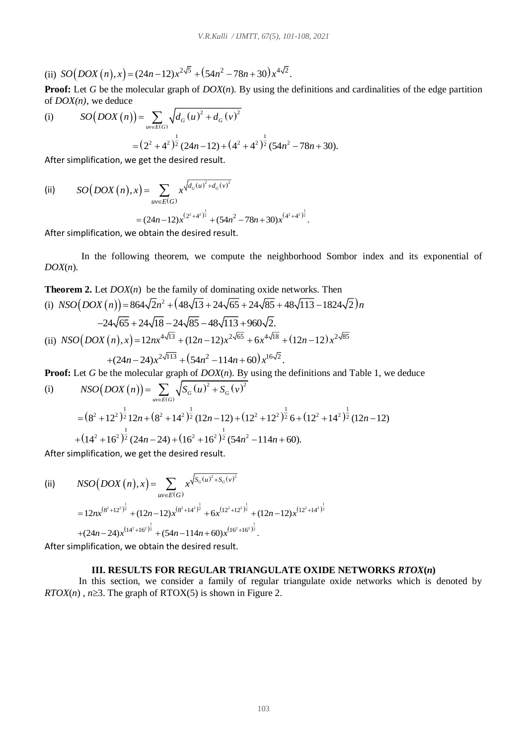(ii) 
$$
SO(DOX(n),x) = (24n-12)x^{2\sqrt{5}} + (54n^2 - 78n + 30)x^{4\sqrt{2}}
$$
.

**Proof:** Let *G* be the molecular graph of *DOX*(*n*). By using the definitions and cardinalities of the edge partition of *DOX(n),* we deduce

(i) 
$$
SO(DOX(n)) = \sum_{uv \in E(G)} \sqrt{d_G(u)^2 + d_G(v)^2}
$$

$$
= (2^2 + 4^2)^{\frac{1}{2}} (24n - 12) + (4^2 + 4^2)^{\frac{1}{2}} (54n^2 - 78n + 30).
$$
After simplification, we get the desired result.

After simplification, we get the desired result.

(ii) 
$$
SO(DOX(n), x) = \sum_{uv \in E(G)} x^{\sqrt{d_G(u)^2 + d_G(v)^2}}
$$

$$
= (24n - 12)x^{(2^2 + 4^2)^{\frac{1}{2}}} + (54n^2 - 78n + 30)x^{(4^2 + 4^2)^{\frac{1}{2}}}.
$$

After simplification, we obtain the desired result.

 In the following theorem, we compute the neighborhood Sombor index and its exponential of *DOX*(*n*).

**Theorem 2.** Let *DOX(n)* be the family of dominating oxide networks. Then  
\n(i) 
$$
NSO(DOX(n)) = 864\sqrt{2n^2 + (48\sqrt{13} + 24\sqrt{65} + 24\sqrt{85} + 48\sqrt{113} - 1824\sqrt{2})n
$$
  
\n $-24\sqrt{65} + 24\sqrt{18} - 24\sqrt{85} - 48\sqrt{113} + 960\sqrt{2}.$   
\n(ii)  $NSO(DOX(n), x) = 12nx^{4\sqrt{13}} + (12n - 12)x^{2\sqrt{65}} + 6x^{4\sqrt{18}} + (12n - 12)x^{2\sqrt{85}}$   
\n $+ (24n - 24)x^{2\sqrt{113}} + (54n^2 - 114n + 60)x^{16\sqrt{2}}.$ 

**Proof:** Let *G* be the molecular graph of *DOX(n)*. By using the definitions and Table 1, we deduce  
\n(i) 
$$
NSO(DOX(n)) = \sum_{u \in E(G)} \sqrt{S_G(u)^2 + S_G(v)^2}
$$
\n
$$
= (8^2 + 12^2)^{\frac{1}{2}} 12n + (8^2 + 14^2)^{\frac{1}{2}} (12n - 12) + (12^2 + 12^2)^{\frac{1}{2}} 6 + (12^2 + 14^2)^{\frac{1}{2}} (12n - 12)
$$
\n
$$
+ (14^2 + 16^2)^{\frac{1}{2}} (24n - 24) + (16^2 + 16^2)^{\frac{1}{2}} (54n^2 - 114n + 60).
$$
\nAfter similar differentiation, we get the desired result.

After simplification, we get the desired result.

(ii) 
$$
NSO(DOX(n), x) = \sum_{uv \in E(G)} x^{\sqrt{S_G(u)^2 + S_G(v)^2}}
$$

$$
= 12nx^{(8^2 + 12^2)^{\frac{1}{2}}} + (12n - 12)x^{(8^2 + 14^2)^{\frac{1}{2}}} + 6x^{(12^2 + 12^2)^{\frac{1}{2}}} + (12n - 12)x^{(12^2 + 14^2)^{\frac{1}{2}}}
$$

$$
+ (24n - 24)x^{(14^2 + 16^2)^{\frac{1}{2}}} + (54n - 114n + 60)x^{(16^2 + 16^2)^{\frac{1}{2}}}.
$$

After simplification, we obtain the desired result.

# **III. RESULTS FOR REGULAR TRIANGULATE OXIDE NETWORKS** *RTOX***(***n***)**

 In this section, we consider a family of regular triangulate oxide networks which is denoted by *RTOX*(*n*),  $n \ge 3$ . The graph of RTOX(5) is shown in Figure 2.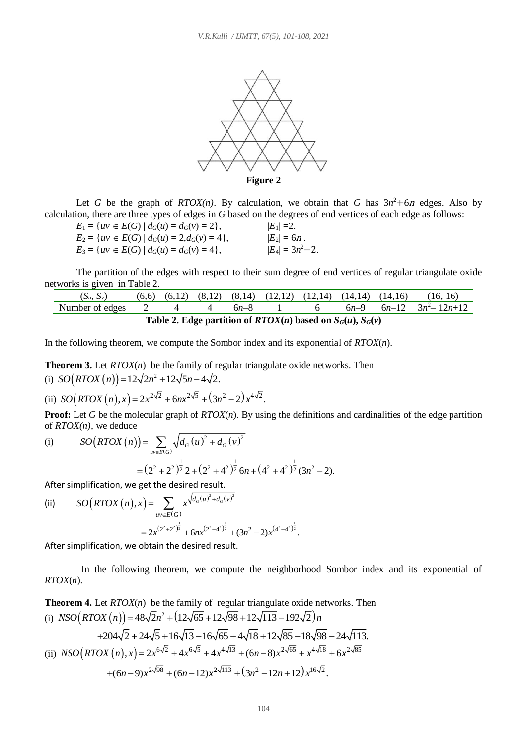

Let *G* be the graph of *RTOX(n)*. By calculation, we obtain that *G* has  $3n^2+6n$  edges. Also by calculation, there are three types of edges in *G* based on the degrees of end vertices of each edge as follows:

| $E_1 = \{uv \in E(G) \mid d_G(u) = d_G(v) = 2\},\$    | $ E_1 =2.$           |
|-------------------------------------------------------|----------------------|
| $E_2 = \{uv \in E(G) \mid d_G(u) = 2, d_G(v) = 4\},\$ | $ E_2  = 6n$ .       |
| $E_3 = \{uv \in E(G) \mid d_G(u) = d_G(v) = 4\},\$    | $ E_4  = 3n^2 - 2$ . |

The partition of the edges with respect to their sum degree of end vertices of regular triangulate oxide networks is given in Table 2.

| $(S_u, S_v)$                                                           |  |  |  |        |  |  | $(6,6)$ $(6,12)$ $(8,12)$ $(8,14)$ $(12,12)$ $(12,14)$ $(14,14)$ $(14,16)$ | (16, 16)              |
|------------------------------------------------------------------------|--|--|--|--------|--|--|----------------------------------------------------------------------------|-----------------------|
| Number of edges                                                        |  |  |  | $6n-8$ |  |  | $6n-9$                                                                     | $6n-12$ $3n^2-12n+12$ |
| Table 2. Edge partition of <i>RTOX(n)</i> based on $S_G(u)$ , $S_G(v)$ |  |  |  |        |  |  |                                                                            |                       |

In the following theorem, we compute the Sombor index and its exponential of *RTOX*(*n*).

**Theorem 3.** Let *RTOX*(*n*) be the family of regular triangulate oxide networks. Then

(i) 
$$
SO(RTOX(n)) = 12\sqrt{2n^2 + 12\sqrt{5n - 4\sqrt{2}}
$$
.

(ii) 
$$
SO(RTOX(n),x) = 2x^{2\sqrt{2}} + 6nx^{2\sqrt{5}} + (3n^2 - 2)x^{4\sqrt{2}}
$$
.

**Proof:** Let *G* be the molecular graph of *RTOX*(*n*). By using the definitions and cardinalities of the edge partition of *RTOX(n),* we deduce

of *RTOX(n)*, we deduce  
\n(i) 
$$
SO(RTOX(n)) = \sum_{uv \in E(G)} \sqrt{d_G(u)^2 + d_G(v)^2}
$$
\n
$$
= (2^2 + 2^2)^{\frac{1}{2}} 2 + (2^2 + 4^2)^{\frac{1}{2}} 6n + (4^2 + 4^2)^{\frac{1}{2}} (3n^2 - 2).
$$

After simplification, we get the desired result.

(ii) 
$$
SO(RTOX(n),x) = \sum_{uv \in E(G)} x^{\sqrt{d_G(u)^2 + d_G(v)^2}} = 2x^{(2^2+2^2)^{\frac{1}{2}}} + 6nx^{(2^2+4^2)^{\frac{1}{2}}} + (3n^2-2)x^{(4^2+4^2)^{\frac{1}{2}}}.
$$

After simplification, we obtain the desired result.

 In the following theorem, we compute the neighborhood Sombor index and its exponential of *RTOX*(*n*).

**Theorem 4.** Let *RTOX*(*n*) be the family of regular triangulate oxide networks. Then (i)  $NSO(RTOX(n)) = 48\sqrt{2}n^2 + (12\sqrt{65} + 12\sqrt{98} + 12\sqrt{113} - 192\sqrt{2})n$ 

(i) 
$$
NSO(K1OA(n)) = 48\sqrt{2}n + (12\sqrt{63} + 12\sqrt{98} + 12\sqrt{115} - 192\sqrt{2})n
$$
  
+204 $\sqrt{2}$  + 24 $\sqrt{5}$  + 16 $\sqrt{13}$  - 16 $\sqrt{65}$  + 4 $\sqrt{18}$  + 12 $\sqrt{85}$  - 18 $\sqrt{98}$  - 24 $\sqrt{113}$ .  
(ii)  $NSO(RTOX(n), x) = 2x^{6\sqrt{2}} + 4x^{6\sqrt{5}} + 4x^{4\sqrt{13}} + (6n - 8)x^{2\sqrt{65}} + x^{4\sqrt{18}} + 6x^{2\sqrt{85}}$   
+ (6n-9) $x^{2\sqrt{98}}$  + (6n-12) $x^{2\sqrt{113}}$  + (3n<sup>2</sup> - 12n + 12) $x^{16\sqrt{2}}$ .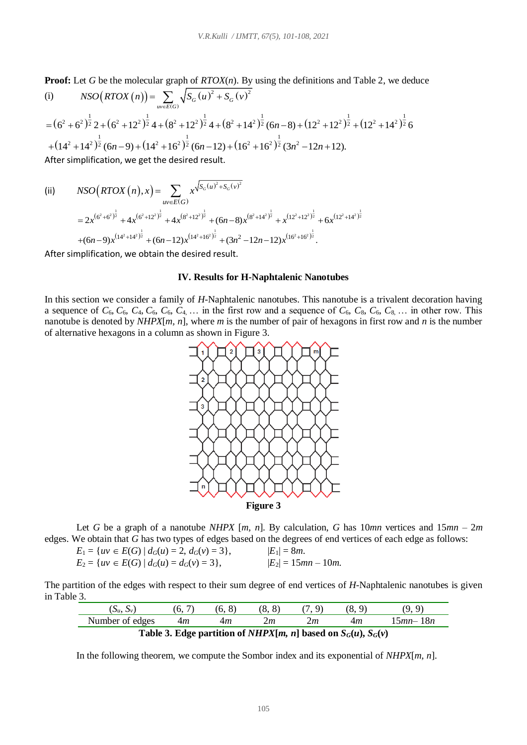**Proof:** Let *G* be the molecular graph of *RTOX*(*n*). By using the definitions and Table 2, we deduce (i)  $NSO(RTOX(n)) = \sum_{n=1}^{\infty} \sqrt{S_G(u)^2 + S_G(v)^2}$  $\sqrt{PT\alpha V}$   $\left(\sqrt{V}\right)$ 

(i) 
$$
NSO(RTOX(n)) = \sum_{w \in E(G)} \sqrt{S_G(u)^2 + S_G(v)^2}
$$
  
=  $(6^2 + 6^2)^{\frac{1}{2}} 2 + (6^2 + 12^2)^{\frac{1}{2}} 4 + (8^2 + 12^2)^{\frac{1}{2}} 4 + (8^2 + 14^2)^{\frac{1}{2}} (6n - 8) + (12^2 + 12^2)^{\frac{1}{2}} + (12^2 + 14^2)^{\frac{1}{2}} 6$   
+  $(14^2 + 14^2)^{\frac{1}{2}} (6n - 9) + (14^2 + 16^2)^{\frac{1}{2}} (6n - 12) + (16^2 + 16^2)^{\frac{1}{2}} (3n^2 - 12n + 12).$   
After simplification, we get the desired result.

(ii) 
$$
NSO(RTOX(n), x) = \sum_{uv \in E(G)} x^{\sqrt{S_G(u)^2 + S_G(v)^2}}
$$
  
=  $2x^{(6^2+6^2)^{\frac{1}{2}}} + 4x^{(6^2+12^2)^{\frac{1}{2}}} + 4x^{(8^2+12^2)^{\frac{1}{2}}} + (6n-8)x^{(8^2+14^2)^{\frac{1}{2}}} + x^{(12^2+12^2)^{\frac{1}{2}}} + 6x^{(12^2+14^2)^{\frac{1}{2}}} + (6n-9)x^{(14^2+14^2)^{\frac{1}{2}}} + (6n-12)x^{(14^2+16^2)^{\frac{1}{2}}} + (3n^2-12n-12)x^{(16^2+16^2)^{\frac{1}{2}}}.$ 

After simplification, we obtain the desired result.

# **IV. Results for H-Naphtalenic Nanotubes**

In this section we consider a family of *H-*Naphtalenic nanotubes. This nanotube is a trivalent decoration having a sequence of  $C_6$ ,  $C_6$ ,  $C_4$ ,  $C_6$ ,  $C_6$ ,  $C_4$ ,  $\ldots$  in the first row and a sequence of  $C_6$ ,  $C_8$ ,  $C_6$ ,  $C_8$ ,  $\ldots$  in other row. This nanotube is denoted by *NHPX*[*m, n*], where *m* is the number of pair of hexagons in first row and *n* is the number of alternative hexagons in a column as shown in Figure 3.



Let *G* be a graph of a nanotube *NHPX* [*m, n*]. By calculation, *G* has 10*mn* vertices and 15*mn* – 2*m* edges. We obtain that *G* has two types of edges based on the degrees of end vertices of each edge as follows:

$$
E_1 = \{uv \in E(G) \mid d_G(u) = 2, d_G(v) = 3\},
$$
  
\n
$$
E_2 = \{uv \in E(G) \mid d_G(u) = d_G(v) = 3\},
$$
  
\n
$$
|E_1| = 8m.
$$
  
\n
$$
|E_2| = 15mn - 10m.
$$

The partition of the edges with respect to their sum degree of end vertices of *H-*Naphtalenic nanotubes is given in Table 3.

| $\omega_u$ , $\omega_v$ | $\overline{\phantom{0}}$<br>v. | ັ<br>v. | $\Omega$<br>R<br>v. |    | v.               |                             |
|-------------------------|--------------------------------|---------|---------------------|----|------------------|-----------------------------|
| Number of edges         | 4m                             | 4m      | 2m                  | zт | 4m               | $\sim$ $mn$<br>$1 \delta n$ |
| .                       | $\sim$ $\sim$ $\sim$           | .       | 0.37777777          |    | $\sim$<br>$\sim$ |                             |

**Table 3. Edge partition of** *NHPX***[***m***,** *n***] based on**  $S_G(u)$ **,**  $S_G(v)$ 

In the following theorem, we compute the Sombor index and its exponential of *NHPX*[*m, n*].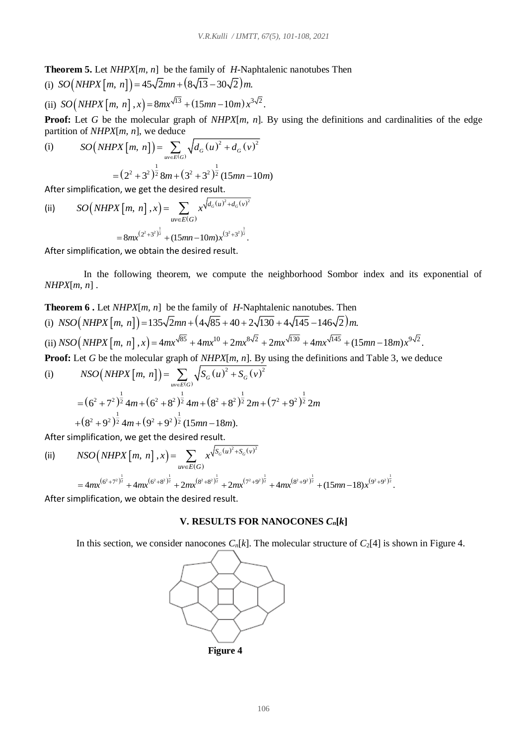**Theorem 5.** Let *NHPX*[*m, n*] be the family of *H-*Naphtalenic nanotubes Then

(i) 
$$
SO(NHPX[m, n]) = 45\sqrt{2}mn + (8\sqrt{13} - 30\sqrt{2})m
$$
.  
\n(ii)  $SO(NHPX[m, n], x) = 8mx^{\sqrt{13}} + (15mn - 10m)x^{3\sqrt{2}}$ .

**Proof:** Let *G* be the molecular graph of *NHPX*[*m*, *n*]. By using the definitions and cardinalities of the edge

partition of *NHPX[m, n]*, we deduce  
\n(i) 
$$
SO(NHPX[m, n]) = \sum_{uv \in E(G)} \sqrt{d_G(u)^2 + d_G(v)^2}
$$
\n
$$
= (2^2 + 3^2)^{\frac{1}{2}} 8m + (3^2 + 3^2)^{\frac{1}{2}} (15mn - 10m)
$$

After simplification, we get the desired result.

(ii) 
$$
SO(NHPX[m, n], x) = \sum_{uv \in E(G)} x^{\sqrt{d_G(u)^2 + d_G(v)^2}}
$$

$$
= 8mx^{(2^2+3^2)^{\frac{1}{2}}} + (15mn - 10m)x^{(3^2+3^2)^{\frac{1}{2}}}.
$$

After simplification, we obtain the desired result.

 In the following theorem, we compute the neighborhood Sombor index and its exponential of *NHPX*[*m, n*] .

**Theorem 6 .** Let *NHPX*[*m, n*] be the family of *H-*Naphtalenic nanotubes. Then (i)  $NSO(NHPX[m, n]) = 135\sqrt{2}mn + (4\sqrt{85} + 40 + 2\sqrt{130} + 4\sqrt{145} - 146\sqrt{2})m$ . (ii)  $NSO(NHPX[m, n], x) = 4mx^{\sqrt{85}} + 4mx^{10} + 2mx^{8\sqrt{2}} + 2mx^{\sqrt{130}} + 4mx^{\sqrt{145}} + (15mn - 18m)x^{9\sqrt{2}}$ . **Proof:** Let *G* be the molecular graph of *NHPX*[*m*, *n*]. By using the definitions and Table 3, we deduce (i)  $(NHPX[m, n]) = \sum_{uv \in E(G)} \sqrt{S_G(u)^2 + S_G(v)}$  $\frac{[m, n] \cdot \mathbf{D} \mathbf{y}}{2 + \mathbf{S} \cdot \left(\mathbf{v}\right)^2}$ et *G* be the molecular graph of *NHPX*[*m*, *n*]. B<br>*NSO*  $(NHPX[m, n]) = \sum_{uv \in E(G)} \sqrt{S_G(u)^2 + S_G(v)}$ 

$$
= (62 + 72)\frac{1}{2} 4m + (62 + 82)\frac{1}{2} 4m + (82 + 82)\frac{1}{2} 2m + (72 + 92)\frac{1}{2} 2m + (82 + 92)\frac{1}{2} 4m + (92 + 92)\frac{1}{2} (15mn - 18m).
$$

After simplification, we get the desired result.

(ii) 
$$
NSO(NHPX[m, n], x) = \sum_{uv \in E(G)} x^{\sqrt{S_G(u)^2 + S_G(v)^2}}
$$
  
=  $4mx^{(6^2+7^2)^{\frac{1}{2}}} + 4mx^{(6^2+8^2)^{\frac{1}{2}}} + 2mx^{(8^2+8^2)^{\frac{1}{2}}} + 2mx^{(7^2+9^2)^{\frac{1}{2}}} + 4mx^{(8^2+9^2)^{\frac{1}{2}}} + (15mn - 18)x^{(9^2+9^2)^{\frac{1}{2}}}.$ 

After simplification, we obtain the desired result.

### **V. RESULTS FOR NANOCONES** *Cn***[***k***]**

In this section, we consider nanocones  $C_n[k]$ . The molecular structure of  $C_2[4]$  is shown in Figure 4.



 **Figure 4**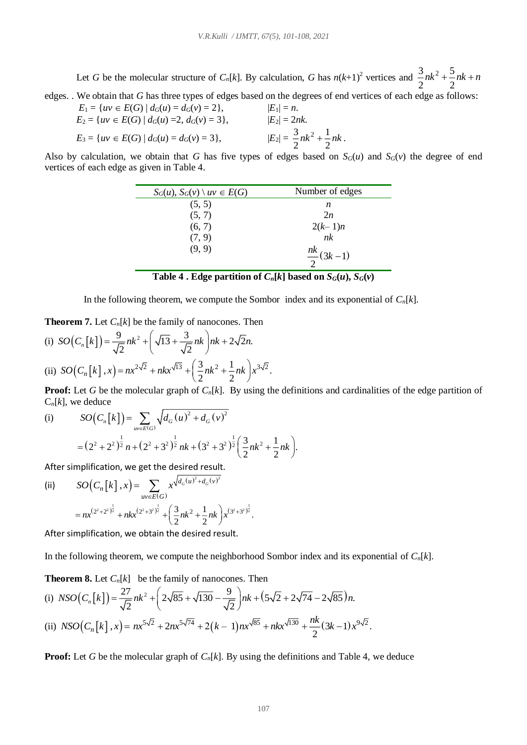Let *G* be the molecular structure of  $C_n[k]$ . By calculation, *G* has  $n(k+1)^2$  vertices and  $\frac{3}{2}nk^2 + \frac{5}{2}$ 2 2  $nk^2 + -nk + n$ 

edges. . We obtain that *G* has three types of edges based on the degrees of end vertices of each edge as follows:  $F = {m \choose m} F(G) + J(G) = J(G) = 21$ 

$$
E_1 = \{uv \in E(G) \mid d_G(u) = a_G(v) = 2\},
$$
  
\n
$$
E_2 = \{uv \in E(G) \mid d_G(u) = 2, d_G(v) = 3\},
$$
  
\n
$$
E_3 = \{uv \in E(G) \mid d_G(u) = d_G(v) = 3\},
$$
  
\n
$$
|E_2| = \frac{3}{2}nk^2 + \frac{1}{2}nk.
$$

Also by calculation, we obtain that *G* has five types of edges based on  $S_G(u)$  and  $S_G(v)$  the degree of end vertices of each edge as given in Table 4.

| $S_G(u)$ , $S_G(v) \setminus uv \in E(G)$ | Number of edges      |
|-------------------------------------------|----------------------|
| (5, 5)                                    | n                    |
| (5, 7)                                    | 2n                   |
| (6, 7)                                    | $2(k-1)n$            |
| (7, 9)                                    | nk                   |
| (9, 9)                                    | $\frac{nk}{2}(3k-1)$ |
|                                           |                      |

In the following theorem, we compute the Sombor index and its exponential of  $C_n[k]$ .

**Theorem 7.** Let *Cn*[*k*] be the family of nanocones. Then

(i) 
$$
SO(C_n[k]) = \frac{9}{\sqrt{2}}nk^2 + \left(\sqrt{13} + \frac{3}{\sqrt{2}}nk\right)nk + 2\sqrt{2}n.
$$
  
\n(ii)  $SO(C_n[k], x) = nx^{2\sqrt{2}} + nkx^{\sqrt{13}} + \left(\frac{3}{2}nk^2 + \frac{1}{2}nk\right)x^{3\sqrt{2}}.$ 

**Proof:** Let *G* be the molecular graph of *C<sub>n</sub>*[*k*]. By using the definitions and cardinalities of the edge partition of  $C_n[k]$ , we deduce

(i) 
$$
SO(C_n[k]) = \sum_{uv \in E(G)} \sqrt{d_G(u)^2 + d_G(v)^2}
$$

$$
= (2^2 + 2^2)^{\frac{1}{2}} n + (2^2 + 3^2)^{\frac{1}{2}} nk + (3^2 + 3^2)^{\frac{1}{2}} \left(\frac{3}{2}nk^2 + \frac{1}{2}nk\right).
$$

After simplification, we get the desired result.

(ii) 
$$
SO(C_n[k],x) = \sum_{uv \in E(G)} x^{\sqrt{d_G(u)^2 + d_G(v)^2}}
$$

$$
= nx^{(2^2+2^2)^{\frac{1}{2}}} + nkx^{(2^2+3^2)^{\frac{1}{2}}} + \left(\frac{3}{2}nk^2 + \frac{1}{2}nk\right)x^{(3^2+3^2)^{\frac{1}{2}}}.
$$

After simplification, we obtain the desired result.

In the following theorem, we compute the neighborhood Sombor index and its exponential of *Cn*[*k*].

**Theorem 8.** Let 
$$
C_n[k]
$$
 be the family of nanocones. Then  
\n(i)  $NSO(C_n[k]) = \frac{27}{\sqrt{2}}nk^2 + \left(2\sqrt{85} + \sqrt{130} - \frac{9}{\sqrt{2}}\right)nk + (5\sqrt{2} + 2\sqrt{74} - 2\sqrt{85})n$ .  
\n(ii)  $NSO(C_n[k], x) = nx^{5\sqrt{2}} + 2nx^{5\sqrt{74}} + 2(k - 1)nx^{\sqrt{85}} + nkx^{\sqrt{130}} + \frac{nk}{2}(3k - 1)x^{9\sqrt{2}}$ .

**Proof:** Let *G* be the molecular graph of  $C_n[k]$ . By using the definitions and Table 4, we deduce